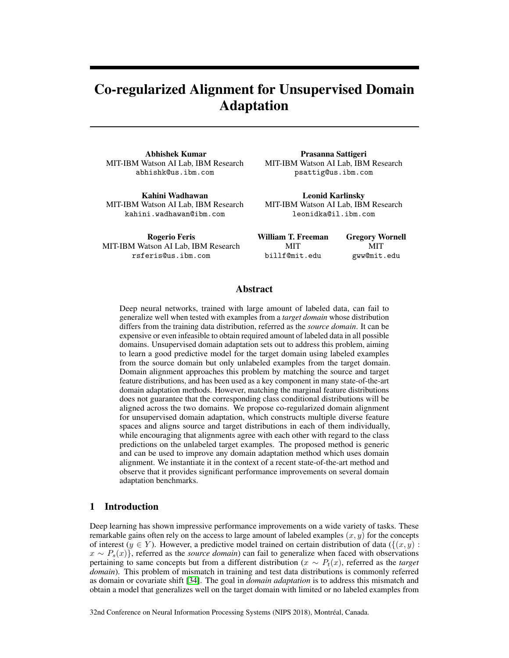# Co-regularized Alignment for Unsupervised Domain Adaptation

Abhishek Kumar MIT-IBM Watson AI Lab, IBM Research abhishk@us.ibm.com

Kahini Wadhawan MIT-IBM Watson AI Lab, IBM Research kahini.wadhawan@ibm.com

Prasanna Sattigeri MIT-IBM Watson AI Lab, IBM Research psattig@us.ibm.com

Leonid Karlinsky MIT-IBM Watson AI Lab, IBM Research leonidka@il.ibm.com

Rogerio Feris MIT-IBM Watson AI Lab, IBM Research rsferis@us.ibm.com

William T. Freeman **MIT** billf@mit.edu Gregory Wornell MIT gww@mit.edu

# Abstract

Deep neural networks, trained with large amount of labeled data, can fail to generalize well when tested with examples from a *target domain* whose distribution differs from the training data distribution, referred as the *source domain*. It can be expensive or even infeasible to obtain required amount of labeled data in all possible domains. Unsupervised domain adaptation sets out to address this problem, aiming to learn a good predictive model for the target domain using labeled examples from the source domain but only unlabeled examples from the target domain. Domain alignment approaches this problem by matching the source and target feature distributions, and has been used as a key component in many state-of-the-art domain adaptation methods. However, matching the marginal feature distributions does not guarantee that the corresponding class conditional distributions will be aligned across the two domains. We propose co-regularized domain alignment for unsupervised domain adaptation, which constructs multiple diverse feature spaces and aligns source and target distributions in each of them individually, while encouraging that alignments agree with each other with regard to the class predictions on the unlabeled target examples. The proposed method is generic and can be used to improve any domain adaptation method which uses domain alignment. We instantiate it in the context of a recent state-of-the-art method and observe that it provides significant performance improvements on several domain adaptation benchmarks.

# 1 Introduction

Deep learning has shown impressive performance improvements on a wide variety of tasks. These remarkable gains often rely on the access to large amount of labeled examples  $(x, y)$  for the concepts of interest (y ∈ Y). However, a predictive model trained on certain distribution of data ( $\{(x, y) :$ x ∼ Ps(x)}, referred as the *source domain*) can fail to generalize when faced with observations pertaining to same concepts but from a different distribution (x ∼ Pt(x), referred as the *target domain*). This problem of mismatch in training and test data distributions is commonly referred as domain or covariate shift [\[34\]](#page-10-0). The goal in *domain adaptation* is to address this mismatch and obtain a model that generalizes well on the target domain with limited or no labeled examples from

32nd Conference on Neural Information Processing Systems (NIPS 2018), Montréal, Canada.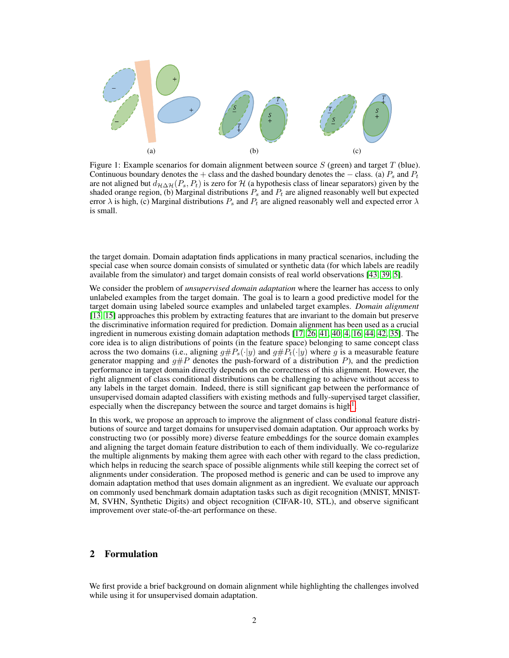<span id="page-1-0"></span>

Figure 1: Example scenarios for domain alignment between source  $S$  (green) and target  $T$  (blue). Continuous boundary denotes the + class and the dashed boundary denotes the  $-$  class. (a)  $P_s$  and  $P_t$ are not aligned but  $d_{\mathcal{H}\Delta\mathcal{H}}(P_s, P_t)$  is zero for  $\mathcal H$  (a hypothesis class of linear separators) given by the shaded orange region, (b) Marginal distributions  $P_s$  and  $P_t$  are aligned reasonably well but expected error  $\lambda$  is high, (c) Marginal distributions  $P_s$  and  $P_t$  are aligned reasonably well and expected error  $\lambda$ is small.

the target domain. Domain adaptation finds applications in many practical scenarios, including the special case when source domain consists of simulated or synthetic data (for which labels are readily available from the simulator) and target domain consists of real world observations [\[43,](#page-11-0) [39,](#page-10-1) [5\]](#page-9-0).

We consider the problem of *unsupervised domain adaptation* where the learner has access to only unlabeled examples from the target domain. The goal is to learn a good predictive model for the target domain using labeled source examples and unlabeled target examples. *Domain alignment* [\[13,](#page-9-1) [15\]](#page-9-2) approaches this problem by extracting features that are invariant to the domain but preserve the discriminative information required for prediction. Domain alignment has been used as a crucial ingredient in numerous existing domain adaptation methods [\[17,](#page-9-3) [26,](#page-10-2) [41,](#page-10-3) [40,](#page-10-4) [4,](#page-9-4) [16,](#page-9-5) [44,](#page-11-1) [42,](#page-11-2) [35\]](#page-10-5). The core idea is to align distributions of points (in the feature space) belonging to same concept class across the two domains (i.e., aligning  $g\#P_s(\cdot|y)$  and  $g\#P_t(\cdot|y)$  where g is a measurable feature generator mapping and  $g\#P$  denotes the push-forward of a distribution P), and the prediction performance in target domain directly depends on the correctness of this alignment. However, the right alignment of class conditional distributions can be challenging to achieve without access to any labels in the target domain. Indeed, there is still significant gap between the performance of unsupervised domain adapted classifiers with existing methods and fully-supervised target classifier, especially when the discrepancy between the source and target domains is high<sup>[1](#page-2-0)</sup>.

In this work, we propose an approach to improve the alignment of class conditional feature distributions of source and target domains for unsupervised domain adaptation. Our approach works by constructing two (or possibly more) diverse feature embeddings for the source domain examples and aligning the target domain feature distribution to each of them individually. We co-regularize the multiple alignments by making them agree with each other with regard to the class prediction, which helps in reducing the search space of possible alignments while still keeping the correct set of alignments under consideration. The proposed method is generic and can be used to improve any domain adaptation method that uses domain alignment as an ingredient. We evaluate our approach on commonly used benchmark domain adaptation tasks such as digit recognition (MNIST, MNIST-M, SVHN, Synthetic Digits) and object recognition (CIFAR-10, STL), and observe significant improvement over state-of-the-art performance on these.

# 2 Formulation

We first provide a brief background on domain alignment while highlighting the challenges involved while using it for unsupervised domain adaptation.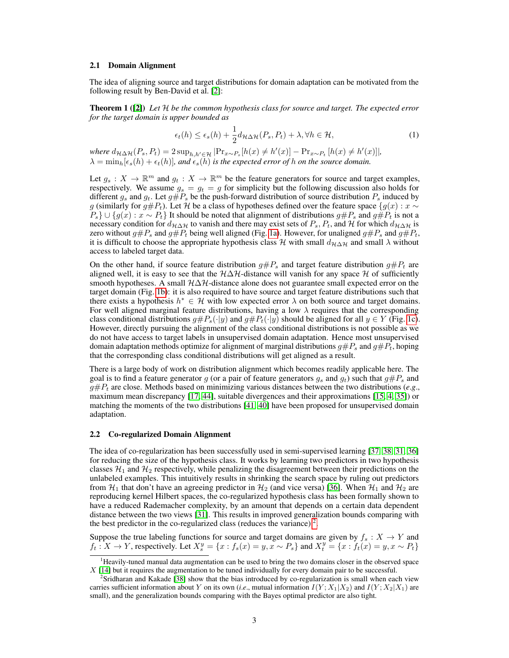#### 2.1 Domain Alignment

The idea of aligning source and target distributions for domain adaptation can be motivated from the following result by Ben-David et al. [\[2\]](#page-9-6):

Theorem 1 ([\[2\]](#page-9-6)) *Let* H *be the common hypothesis class for source and target. The expected error for the target domain is upper bounded as*

$$
\epsilon_t(h) \le \epsilon_s(h) + \frac{1}{2} d_{\mathcal{H}\Delta\mathcal{H}}(P_s, P_t) + \lambda, \forall h \in \mathcal{H},\tag{1}
$$

*where*  $d_{\mathcal{H}\Delta\mathcal{H}}(P_s, P_t) = 2 \sup_{h,h' \in \mathcal{H}} |\Pr_{x \sim P_s}[h(x) \neq h'(x)] - \Pr_{x \sim P_t}[h(x) \neq h'(x)]|,$  $\lambda = \min_h[\epsilon_s(h) + \epsilon_t(h)]$ *, and*  $\epsilon_s(h)$  *is the expected error of h on the source domain.* 

Let  $g_s: X \to \mathbb{R}^m$  and  $g_t: X \to \mathbb{R}^m$  be the feature generators for source and target examples, respectively. We assume  $g_s = g_t = g$  for simplicity but the following discussion also holds for different  $g_s$  and  $g_t$ . Let  $g\#P_s$  be the push-forward distribution of source distribution  $P_s$  induced by g (similarly for  $g \# P_t$ ). Let H be a class of hypotheses defined over the feature space  $\{g(x) : x \sim$  $P_s$ } ∪ { $g(x)$  :  $x \sim P_t$ } It should be noted that alignment of distributions  $g\#P_s$  and  $g\#P_t$  is not a necessary condition for  $d_{\mathcal{H}\Delta\mathcal{H}}$  to vanish and there may exist sets of  $P_s$ ,  $P_t$ , and  $\mathcal{H}$  for which  $d_{\mathcal{H}\Delta\mathcal{H}}$  is zero without  $g \# P_s$  and  $g \# P_t$  being well aligned (Fig. [1a\)](#page-1-0). However, for unaligned  $g \# P_s$  and  $g \# P_t$ , it is difficult to choose the appropriate hypothesis class H with small  $d_{\mathcal{H}\Delta\mathcal{H}}$  and small  $\lambda$  without access to labeled target data.

On the other hand, if source feature distribution  $g \# P_s$  and target feature distribution  $g \# P_t$  are aligned well, it is easy to see that the  $H\Delta H$ -distance will vanish for any space H of sufficiently smooth hypotheses. A small  $H\Delta H$ -distance alone does not guarantee small expected error on the target domain (Fig. [1b\)](#page-1-0): it is also required to have source and target feature distributions such that there exists a hypothesis  $h^* \in \mathcal{H}$  with low expected error  $\lambda$  on both source and target domains. For well aligned marginal feature distributions, having a low  $\lambda$  requires that the corresponding class conditional distributions  $g\#P_s(\cdot|y)$  and  $g\#P_t(\cdot|y)$  should be aligned for all  $y \in Y$  (Fig. [1c\)](#page-1-0). However, directly pursuing the alignment of the class conditional distributions is not possible as we do not have access to target labels in unsupervised domain adaptation. Hence most unsupervised domain adaptation methods optimize for alignment of marginal distributions  $g\#P_s$  and  $g\#P_t$ , hoping that the corresponding class conditional distributions will get aligned as a result.

There is a large body of work on distribution alignment which becomes readily applicable here. The goal is to find a feature generator g (or a pair of feature generators  $g_s$  and  $g_t$ ) such that  $g \# P_s$  and  $g \# P_t$  are close. Methods based on minimizing various distances between the two distributions (*e.g.*, maximum mean discrepancy [\[17,](#page-9-3) [44\]](#page-11-1), suitable divergences and their approximations [\[15,](#page-9-2) [4,](#page-9-4) [35\]](#page-10-5)) or matching the moments of the two distributions [\[41,](#page-10-3) [40\]](#page-10-4) have been proposed for unsupervised domain adaptation.

### 2.2 Co-regularized Domain Alignment

The idea of co-regularization has been successfully used in semi-supervised learning [\[37,](#page-10-6) [38,](#page-10-7) [31,](#page-10-8) [36\]](#page-10-9) for reducing the size of the hypothesis class. It works by learning two predictors in two hypothesis classes  $\mathcal{H}_1$  and  $\mathcal{H}_2$  respectively, while penalizing the disagreement between their predictions on the unlabeled examples. This intuitively results in shrinking the search space by ruling out predictors from  $\mathcal{H}_1$  that don't have an agreeing predictor in  $\mathcal{H}_2$  (and vice versa) [\[36\]](#page-10-9). When  $\mathcal{H}_1$  and  $\mathcal{H}_2$  are reproducing kernel Hilbert spaces, the co-regularized hypothesis class has been formally shown to have a reduced Rademacher complexity, by an amount that depends on a certain data dependent distance between the two views [\[31\]](#page-10-8). This results in improved generalization bounds comparing with the best predictor in the co-regularized class (reduces the variance)<sup>[2](#page-2-1)</sup>.

Suppose the true labeling functions for source and target domains are given by  $f_s: X \to Y$  and  $f_t: X \to Y$ , respectively. Let  $X_s^y = \{x : f_s(x) = y, x \sim P_s\}$  and  $X_t^y = \{x : f_t(x) = y, x \sim P_t\}$ 

<span id="page-2-0"></span><sup>&</sup>lt;sup>1</sup>Heavily-tuned manual data augmentation can be used to bring the two domains closer in the observed space X [\[14\]](#page-9-7) but it requires the augmentation to be tuned individually for every domain pair to be successful.

<span id="page-2-1"></span><sup>2</sup> Sridharan and Kakade [\[38\]](#page-10-7) show that the bias introduced by co-regularization is small when each view carries sufficient information about Y on its own (*i.e.*, mutual information  $I(Y; X_1|X_2)$  and  $I(Y; X_2|X_1)$  are small), and the generalization bounds comparing with the Bayes optimal predictor are also tight.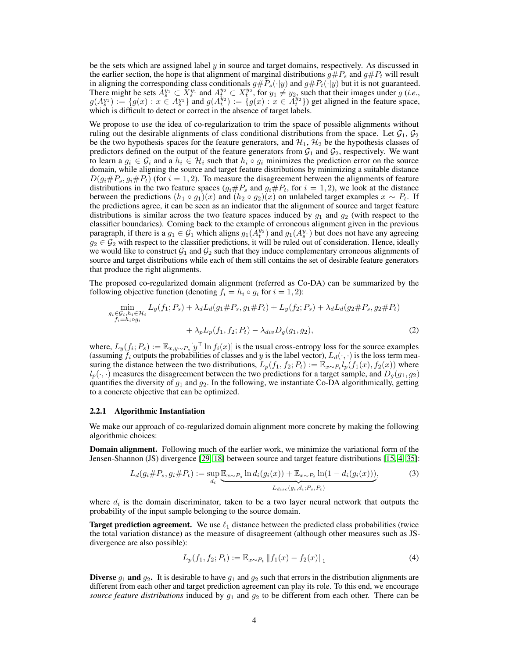be the sets which are assigned label  $\gamma$  in source and target domains, respectively. As discussed in the earlier section, the hope is that alignment of marginal distributions  $q\#P_s$  and  $q\#P_t$  will result in aligning the corresponding class conditionals  $g \# P_s(\cdot|y)$  and  $g \# P_t(\cdot|y)$  but it is not guaranteed. There might be sets  $A_{s}^{y_1} \subset X_{s}^{y_1}$  and  $A_{t}^{y_2} \subset X_{t}^{y_2}$ , for  $y_1 \neq y_2$ , such that their images under g (*i.e.*,  $g(A_s^y) := \{g(x) : x \in A_s^y$  and  $g(A_t^{y_2}) := \{g(x) : x \in A_t^{y_2}\}\$  get aligned in the feature space, which is difficult to detect or correct in the absence of target labels.

We propose to use the idea of co-regularization to trim the space of possible alignments without ruling out the desirable alignments of class conditional distributions from the space. Let  $\mathcal{G}_1$ ,  $\mathcal{G}_2$ be the two hypothesis spaces for the feature generators, and  $H_1$ ,  $H_2$  be the hypothesis classes of predictors defined on the output of the feature generators from  $G_1$  and  $G_2$ , respectively. We want to learn a  $g_i \in \mathcal{G}_i$  and a  $h_i \in \mathcal{H}_i$  such that  $h_i \circ g_i$  minimizes the prediction error on the source domain, while aligning the source and target feature distributions by minimizing a suitable distance  $D(g_i \# P_s, g_i \# P_t)$  (for  $i = 1, 2$ ). To measure the disagreement between the alignments of feature distributions in the two feature spaces  $(g_i \# P_s$  and  $g_i \# P_t$ , for  $i = 1, 2$ ), we look at the distance between the predictions  $(h_1 \circ g_1)(x)$  and  $(h_2 \circ g_2)(x)$  on unlabeled target examples  $x \sim P_t$ . If the predictions agree, it can be seen as an indicator that the alignment of source and target feature distributions is similar across the two feature spaces induced by  $g_1$  and  $g_2$  (with respect to the classifier boundaries). Coming back to the example of erroneous alignment given in the previous paragraph, if there is a  $g_1 \in \mathcal{G}_1$  which aligns  $g_1(A_t^{y_1})$  and  $g_1(A_s^{y_1})$  but does not have any agreeing  $g_2 \in \mathcal{G}_2$  with respect to the classifier predictions, it will be ruled out of consideration. Hence, ideally we would like to construct  $G_1$  and  $G_2$  such that they induce complementary erroneous alignments of source and target distributions while each of them still contains the set of desirable feature generators that produce the right alignments.

The proposed co-regularized domain alignment (referred as Co-DA) can be summarized by the following objective function (denoting  $f_i = h_i \circ g_i$  for  $i = 1, 2$ ):

<span id="page-3-0"></span>
$$
\min_{\substack{g_i \in \mathcal{G}_i, h_i \in \mathcal{H}_i \\ f_i = h_i \circ g_i}} L_y(f_1; P_s) + \lambda_d L_d(g_1 \# P_s, g_1 \# P_t) + L_y(f_2; P_s) + \lambda_d L_d(g_2 \# P_s, g_2 \# P_t) + \lambda_p L_p(f_1, f_2; P_t) - \lambda_{div} D_g(g_1, g_2),
$$
\n(2)

where,  $L_y(f_i; P_s) := \mathbb{E}_{x,y \sim P_s}[y^\top \ln f_i(x)]$  is the usual cross-entropy loss for the source examples (assuming  $f_i$  outputs the probabilities of classes and y is the label vector),  $L_d(\cdot, \cdot)$  is the loss term measuring the distance between the two distributions,  $L_p(f_1, f_2; P_t) := \mathbb{E}_{x \sim P_t} l_p(f_1(x), f_2(x))$  where  $l_p(\cdot, \cdot)$  measures the disagreement between the two predictions for a target sample, and  $D_q(g_1, g_2)$ quantifies the diversity of  $g_1$  and  $g_2$ . In the following, we instantiate Co-DA algorithmically, getting to a concrete objective that can be optimized.

## 2.2.1 Algorithmic Instantiation

We make our approach of co-regularized domain alignment more concrete by making the following algorithmic choices:

**Domain alignment.** Following much of the earlier work, we minimize the variational form of the Jensen-Shannon (JS) divergence [\[29,](#page-10-10) [18\]](#page-9-8) between source and target feature distributions [\[15,](#page-9-2) [4,](#page-9-4) [35\]](#page-10-5):

$$
L_d(g_i \# P_s, g_i \# P_t) := \sup_{d_i} \underbrace{\mathbb{E}_{x \sim P_s} \ln d_i(g_i(x)) + \mathbb{E}_{x \sim P_t} \ln(1 - d_i(g_i(x)))}_{L_{disc}(g_i, d_i; P_s, P_t)},
$$
(3)

where  $d_i$  is the domain discriminator, taken to be a two layer neural network that outputs the probability of the input sample belonging to the source domain.

**Target prediction agreement.** We use  $\ell_1$  distance between the predicted class probabilities (twice the total variation distance) as the measure of disagreement (although other measures such as JSdivergence are also possible):

<span id="page-3-1"></span>
$$
L_p(f_1, f_2; P_t) := \mathbb{E}_{x \sim P_t} \|f_1(x) - f_2(x)\|_1
$$
\n(4)

**Diverse**  $g_1$  and  $g_2$ . It is desirable to have  $g_1$  and  $g_2$  such that errors in the distribution alignments are different from each other and target prediction agreement can play its role. To this end, we encourage *source feature distributions* induced by  $g_1$  and  $g_2$  to be different from each other. There can be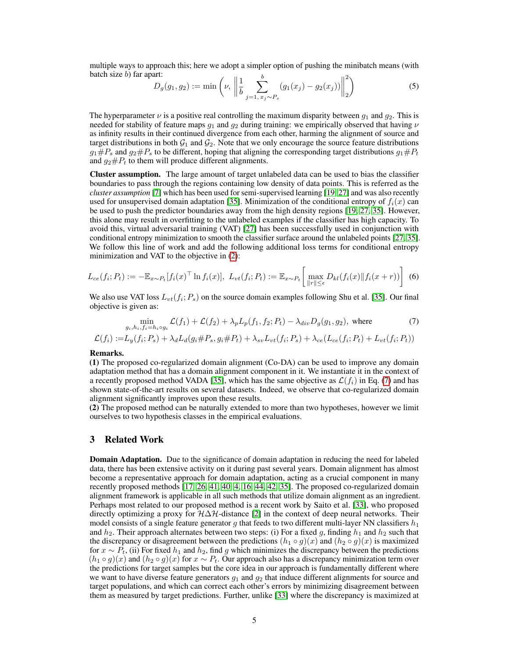multiple ways to approach this; here we adopt a simpler option of pushing the minibatch means (with batch size  $b$ ) far apart: b 2

<span id="page-4-1"></span>
$$
D_g(g_1, g_2) := \min\left(\nu, \left\|\frac{1}{b} \sum_{j=1, x_j \sim P_s}^{b} (g_1(x_j) - g_2(x_j))\right\|_2^2\right)
$$
 (5)

The hyperparameter  $\nu$  is a positive real controlling the maximum disparity between  $g_1$  and  $g_2$ . This is needed for stability of feature maps  $q_1$  and  $q_2$  during training: we empirically observed that having  $\nu$ as infinity results in their continued divergence from each other, harming the alignment of source and target distributions in both  $G_1$  and  $G_2$ . Note that we only encourage the source feature distributions  $g_1 \# P_s$  and  $g_2 \# P_s$  to be different, hoping that aligning the corresponding target distributions  $g_1 \# P_t$ and  $q_2 \# P_t$  to them will produce different alignments.

Cluster assumption. The large amount of target unlabeled data can be used to bias the classifier boundaries to pass through the regions containing low density of data points. This is referred as the *cluster assumption* [\[7\]](#page-9-9) which has been used for semi-supervised learning [\[19,](#page-9-10) [27\]](#page-10-11) and was also recently used for unsupervised domain adaptation [\[35\]](#page-10-5). Minimization of the conditional entropy of  $f_i(x)$  can be used to push the predictor boundaries away from the high density regions [\[19,](#page-9-10) [27,](#page-10-11) [35\]](#page-10-5). However, this alone may result in overfitting to the unlabeled examples if the classifier has high capacity. To avoid this, virtual adversarial training (VAT) [\[27\]](#page-10-11) has been successfully used in conjunction with conditional entropy minimization to smooth the classifier surface around the unlabeled points [\[27,](#page-10-11) [35\]](#page-10-5). We follow this line of work and add the following additional loss terms for conditional entropy minimization and VAT to the objective in [\(2\)](#page-3-0):

$$
L_{ce}(f_i; P_t) := -\mathbb{E}_{x \sim P_t}[f_i(x)^\top \ln f_i(x)], \ L_{vt}(f_i; P_t) := \mathbb{E}_{x \sim P_t} \left[ \max_{\|r\| \le \epsilon} D_{kl}(f_i(x) \| f_i(x+r)) \right] \tag{6}
$$

We also use VAT loss  $L_{vt}(f_i; P_s)$  on the source domain examples following Shu et al. [\[35\]](#page-10-5). Our final objective is given as:

<span id="page-4-0"></span>
$$
\min_{g_i, h_i, f_i = h_i \circ g_i} \mathcal{L}(f_1) + \mathcal{L}(f_2) + \lambda_p L_p(f_1, f_2; P_t) - \lambda_{div} D_g(g_1, g_2), \text{ where } (7)
$$

$$
\mathcal{L}(f_i):=L_y(f_i;P_s)+\lambda_d L_d(g_i\#P_s,g_i\#P_t)+\lambda_{sv}L_{vt}(f_i;P_s)+\lambda_{ce}(L_{ce}(f_i;P_t)+L_{vt}(f_i;P_t))
$$

#### Remarks.

(1) The proposed co-regularized domain alignment (Co-DA) can be used to improve any domain adaptation method that has a domain alignment component in it. We instantiate it in the context of a recently proposed method VADA [\[35\]](#page-10-5), which has the same objective as  $\mathcal{L}(f_i)$  in Eq. [\(7\)](#page-4-0) and has shown state-of-the-art results on several datasets. Indeed, we observe that co-regularized domain alignment significantly improves upon these results.

(2) The proposed method can be naturally extended to more than two hypotheses, however we limit ourselves to two hypothesis classes in the empirical evaluations.

## 3 Related Work

**Domain Adaptation.** Due to the significance of domain adaptation in reducing the need for labeled data, there has been extensive activity on it during past several years. Domain alignment has almost become a representative approach for domain adaptation, acting as a crucial component in many recently proposed methods [\[17,](#page-9-3) [26,](#page-10-2) [41,](#page-10-3) [40,](#page-10-4) [4,](#page-9-4) [16,](#page-9-5) [44,](#page-11-1) [42,](#page-11-2) [35\]](#page-10-5). The proposed co-regularized domain alignment framework is applicable in all such methods that utilize domain alignment as an ingredient. Perhaps most related to our proposed method is a recent work by Saito et al. [\[33\]](#page-10-12), who proposed directly optimizing a proxy for  $H\Delta H$ -distance [\[2\]](#page-9-6) in the context of deep neural networks. Their model consists of a single feature generator g that feeds to two different multi-layer NN classifiers  $h_1$ and  $h_2$ . Their approach alternates between two steps: (i) For a fixed g, finding  $h_1$  and  $h_2$  such that the discrepancy or disagreement between the predictions  $(h_1 \circ g)(x)$  and  $(h_2 \circ g)(x)$  is maximized for  $x \sim P_t$ , (ii) For fixed  $h_1$  and  $h_2$ , find g which minimizes the discrepancy between the predictions  $(h_1 \circ g)(x)$  and  $(h_2 \circ g)(x)$  for  $x \sim P_t$ . Our approach also has a discrepancy minimization term over the predictions for target samples but the core idea in our approach is fundamentally different where we want to have diverse feature generators  $g_1$  and  $g_2$  that induce different alignments for source and target populations, and which can correct each other's errors by minimizing disagreement between them as measured by target predictions. Further, unlike [\[33\]](#page-10-12) where the discrepancy is maximized at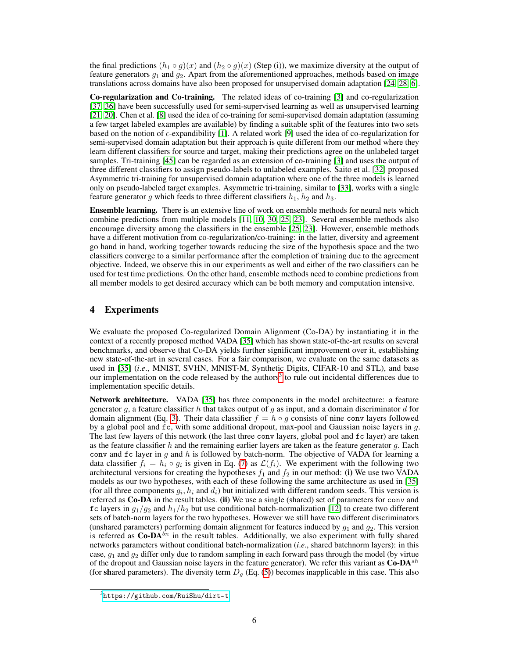the final predictions  $(h_1 \circ g)(x)$  and  $(h_2 \circ g)(x)$  (Step (i)), we maximize diversity at the output of feature generators  $g_1$  and  $g_2$ . Apart from the aforementioned approaches, methods based on image translations across domains have also been proposed for unsupervised domain adaptation [\[24,](#page-10-13) [28,](#page-10-14) [6\]](#page-9-11).

Co-regularization and Co-training. The related ideas of co-training [\[3\]](#page-9-12) and co-regularization [\[37,](#page-10-6) [36\]](#page-10-9) have been successfully used for semi-supervised learning as well as unsupervised learning [\[21,](#page-10-15) [20\]](#page-9-13). Chen et al. [\[8\]](#page-9-14) used the idea of co-training for semi-supervised domain adaptation (assuming a few target labeled examples are available) by finding a suitable split of the features into two sets based on the notion of  $\epsilon$ -expandibility [\[1\]](#page-9-15). A related work [\[9\]](#page-9-16) used the idea of co-regularization for semi-supervised domain adaptation but their approach is quite different from our method where they learn different classifiers for source and target, making their predictions agree on the unlabeled target samples. Tri-training [\[45\]](#page-11-3) can be regarded as an extension of co-training [\[3\]](#page-9-12) and uses the output of three different classifiers to assign pseudo-labels to unlabeled examples. Saito et al. [\[32\]](#page-10-16) proposed Asymmetric tri-training for unsupervised domain adaptation where one of the three models is learned only on pseudo-labeled target examples. Asymmetric tri-training, similar to [\[33\]](#page-10-12), works with a single feature generator g which feeds to three different classifiers  $h_1$ ,  $h_2$  and  $h_3$ .

Ensemble learning. There is an extensive line of work on ensemble methods for neural nets which combine predictions from multiple models [\[11,](#page-9-17) [10,](#page-9-18) [30,](#page-10-17) [25,](#page-10-18) [23\]](#page-10-19). Several ensemble methods also encourage diversity among the classifiers in the ensemble [\[25,](#page-10-18) [23\]](#page-10-19). However, ensemble methods have a different motivation from co-regularization/co-training: in the latter, diversity and agreement go hand in hand, working together towards reducing the size of the hypothesis space and the two classifiers converge to a similar performance after the completion of training due to the agreement objective. Indeed, we observe this in our experiments as well and either of the two classifiers can be used for test time predictions. On the other hand, ensemble methods need to combine predictions from all member models to get desired accuracy which can be both memory and computation intensive.

# 4 Experiments

We evaluate the proposed Co-regularized Domain Alignment (Co-DA) by instantiating it in the context of a recently proposed method VADA [\[35\]](#page-10-5) which has shown state-of-the-art results on several benchmarks, and observe that Co-DA yields further significant improvement over it, establishing new state-of-the-art in several cases. For a fair comparison, we evaluate on the same datasets as used in [\[35\]](#page-10-5) (*i*.*e*., MNIST, SVHN, MNIST-M, Synthetic Digits, CIFAR-10 and STL), and base our implementation on the code released by the authors<sup>[3](#page-5-0)</sup> to rule out incidental differences due to implementation specific details.

Network architecture. VADA [\[35\]](#page-10-5) has three components in the model architecture: a feature generator g, a feature classifier h that takes output of g as input, and a domain discriminator d for domain alignment (Eq. [3\)](#page-3-1). Their data classifier  $f = h \circ q$  consists of nine conv layers followed by a global pool and  $\epsilon$ , with some additional dropout, max-pool and Gaussian noise layers in q. The last few layers of this network (the last three conv layers, global pool and fc layer) are taken as the feature classifier h and the remaining earlier layers are taken as the feature generator  $g$ . Each conv and  $f c$  layer in g and h is followed by batch-norm. The objective of VADA for learning a data classifier  $f_i = h_i \circ g_i$  is given in Eq. [\(7\)](#page-4-0) as  $\mathcal{L}(f_i)$ . We experiment with the following two architectural versions for creating the hypotheses  $f_1$  and  $f_2$  in our method: (i) We use two VADA models as our two hypotheses, with each of these following the same architecture as used in [\[35\]](#page-10-5) (for all three components  $g_i, h_i$  and  $d_i$ ) but initialized with different random seeds. This version is referred as Co-DA in the result tables. (ii) We use a single (shared) set of parameters for conv and fc layers in  $g_1/g_2$  and  $h_1/h_2$  but use conditional batch-normalization [\[12\]](#page-9-19) to create two different sets of batch-norm layers for the two hypotheses. However we still have two different discriminators (unshared parameters) performing domain alignment for features induced by  $g_1$  and  $g_2$ . This version is referred as  $Co-DA^{bn}$  in the result tables. Additionally, we also experiment with fully shared networks parameters without conditional batch-normalization (*i*.*e*., shared batchnorm layers): in this case,  $g_1$  and  $g_2$  differ only due to random sampling in each forward pass through the model (by virtue of the dropout and Gaussian noise layers in the feature generator). We refer this variant as  $Co-DA^{sh}$ (for shared parameters). The diversity term  $D_q$  (Eq. [\(5\)](#page-4-1)) becomes inapplicable in this case. This also

<span id="page-5-0"></span><sup>3</sup> <https://github.com/RuiShu/dirt-t>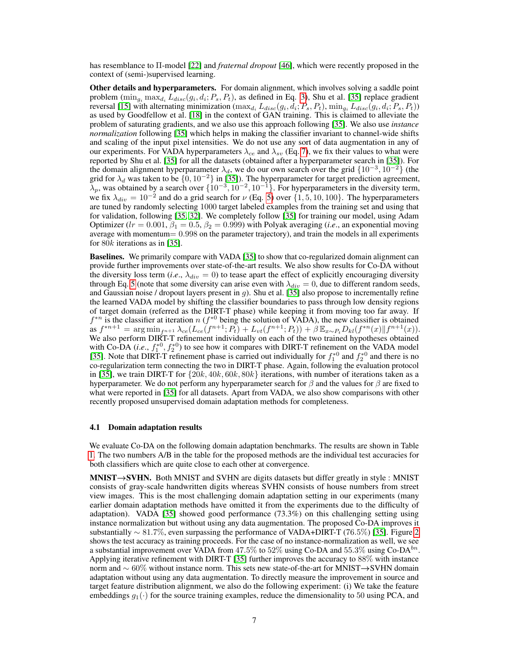has resemblance to Π-model [\[22\]](#page-10-20) and *fraternal dropout* [\[46\]](#page-11-4), which were recently proposed in the context of (semi-)supervised learning.

Other details and hyperparameters. For domain alignment, which involves solving a saddle point problem  $(\min_{g_i} \max_{d_i} L_{disc}(g_i, d_i; P_s, P_t)$ , as defined in Eq. [3\)](#page-3-1), Shu et al. [\[35\]](#page-10-5) replace gradient reversal [\[15\]](#page-9-2) with alternating minimization  $(\max_{d_i} L_{disc}(g_i, d_i; P_s, P_t), \min_{g_i} L_{disc}(g_i, d_i; P_s, P_t))$ as used by Goodfellow et al. [\[18\]](#page-9-8) in the context of GAN training. This is claimed to alleviate the problem of saturating gradients, and we also use this approach following [\[35\]](#page-10-5). We also use *instance normalization* following [\[35\]](#page-10-5) which helps in making the classifier invariant to channel-wide shifts and scaling of the input pixel intensities. We do not use any sort of data augmentation in any of our experiments. For VADA hyperparameters  $\lambda_{ce}$  and  $\lambda_{sv}$  (Eq. [7\)](#page-4-0), we fix their values to what were reported by Shu et al. [\[35\]](#page-10-5) for all the datasets (obtained after a hyperparameter search in [\[35\]](#page-10-5)). For the domain alignment hyperparameter  $\lambda_d$ , we do our own search over the grid  $\{10^{-3}, 10^{-2}\}$  (the grid for  $\lambda_d$  was taken to be  $\{0, 10^{-2}\}$  in [\[35\]](#page-10-5)). The hyperparameter for target prediction agreement,  $\lambda_p$ , was obtained by a search over  $\{10^{-3}, 10^{-2}, 10^{-1}\}$ . For hyperparameters in the diversity term, we fix  $\lambda_{div} = 10^{-2}$  and do a grid search for  $\nu$  (Eq. [5\)](#page-4-1) over  $\{1, 5, 10, 100\}$ . The hyperparameters are tuned by randomly selecting 1000 target labeled examples from the training set and using that for validation, following [\[35,](#page-10-5) [32\]](#page-10-16). We completely follow [\[35\]](#page-10-5) for training our model, using Adam Optimizer ( $lr = 0.001$ ,  $\beta_1 = 0.5$ ,  $\beta_2 = 0.999$ ) with Polyak averaging (*i.e.*, an exponential moving average with momentum $= 0.998$  on the parameter trajectory), and train the models in all experiments for 80k iterations as in [\[35\]](#page-10-5).

Baselines. We primarily compare with VADA [\[35\]](#page-10-5) to show that co-regularized domain alignment can provide further improvements over state-of-the-art results. We also show results for Co-DA without the diversity loss term (*i.e.*,  $\lambda_{div} = 0$ ) to tease apart the effect of explicitly encouraging diversity through Eq. [5](#page-4-1) (note that some diversity can arise even with  $\lambda_{div} = 0$ , due to different random seeds, and Gaussian noise / dropout layers present in  $g$ ). Shu et al. [\[35\]](#page-10-5) also propose to incrementally refine the learned VADA model by shifting the classifier boundaries to pass through low density regions of target domain (referred as the DIRT-T phase) while keeping it from moving too far away. If  $f^{*n}$  is the classifier at iteration n ( $f^{*0}$  being the solution of VADA), the new classifier is obtained as  $f^{*n+1} = \arg \min_{f^{n+1}} \lambda_{ce}(L_{ce}(f^{n+1}; P_t) + L_{vt}(f^{n+1}; P_t)) + \beta \mathbb{E}_{x \sim P_t} D_{kl}(f^{*n}(x) || f^{n+1}(x)).$ We also perform DIRT-T refinement individually on each of the two trained hypotheses obtained with Co-DA (*i.e.*,  $f_1^{*0}$ ,  $f_2^{*0}$ ) to see how it compares with DIRT-T refinement on the VADA model [\[35\]](#page-10-5). Note that DIRT-T refinement phase is carried out individually for  $f_1^{*0}$  and  $f_2^{*0}$  and there is no co-regularization term connecting the two in DIRT-T phase. Again, following the evaluation protocol in [\[35\]](#page-10-5), we train DIRT-T for  $\{20k, 40k, 60k, 80k\}$  iterations, with number of iterations taken as a hyperparameter. We do not perform any hyperparameter search for  $\beta$  and the values for  $\beta$  are fixed to what were reported in [\[35\]](#page-10-5) for all datasets. Apart from VADA, we also show comparisons with other recently proposed unsupervised domain adaptation methods for completeness.

#### 4.1 Domain adaptation results

We evaluate Co-DA on the following domain adaptation benchmarks. The results are shown in Table [1.](#page-7-0) The two numbers A/B in the table for the proposed methods are the individual test accuracies for both classifiers which are quite close to each other at convergence.

MNIST→SVHN. Both MNIST and SVHN are digits datasets but differ greatly in style : MNIST consists of gray-scale handwritten digits whereas SVHN consists of house numbers from street view images. This is the most challenging domain adaptation setting in our experiments (many earlier domain adaptation methods have omitted it from the experiments due to the difficulty of adaptation). VADA [\[35\]](#page-10-5) showed good performance (73.3%) on this challenging setting using instance normalization but without using any data augmentation. The proposed Co-DA improves it substantially ∼ 81.7%, even surpassing the performance of VADA+DIRT-T (76.5%) [\[35\]](#page-10-5). Figure [2](#page-8-0) shows the test accuracy as training proceeds. For the case of no instance-normalization as well, we see a substantial improvement over VADA from 47.5% to 52% using Co-DA and 55.3% using  $Co-DA^{bn}$ . Applying iterative refinement with DIRT-T [\[35\]](#page-10-5) further improves the accuracy to 88% with instance norm and  $\sim 60\%$  without instance norm. This sets new state-of-the-art for MNIST $\rightarrow$ SVHN domain adaptation without using any data augmentation. To directly measure the improvement in source and target feature distribution alignment, we also do the following experiment: (i) We take the feature embeddings  $g_1(\cdot)$  for the source training examples, reduce the dimensionality to 50 using PCA, and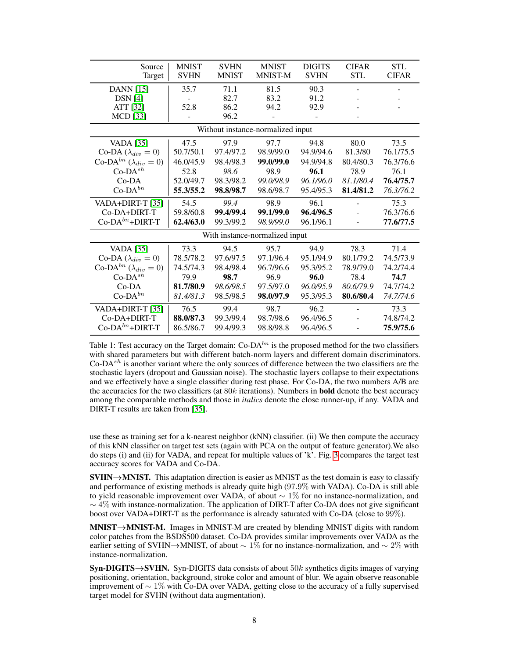<span id="page-7-0"></span>

| Source                                      | <b>MNIST</b> | <b>SVHN</b>  | <b>MNIST</b> | <b>DIGITS</b> | <b>CIFAR</b>             | <b>STL</b>   |
|---------------------------------------------|--------------|--------------|--------------|---------------|--------------------------|--------------|
| Target                                      | <b>SVHN</b>  | <b>MNIST</b> | MNIST-M      | <b>SVHN</b>   | <b>STL</b>               | <b>CIFAR</b> |
| <b>DANN</b> [15]                            | 35.7         | 71.1         | 81.5         | 90.3          | $\overline{a}$           |              |
| $DSN$ [4]                                   |              | 82.7         | 83.2         | 91.2          |                          |              |
| ATT [32]                                    | 52.8         | 86.2         | 94.2         | 92.9          |                          |              |
| <b>MCD</b> [33]                             |              | 96.2         |              |               |                          |              |
| Without instance-normalized input           |              |              |              |               |                          |              |
| <b>VADA</b> [35]                            | 47.5         | 97.9         | 97.7         | 94.8          | 80.0                     | 73.5         |
| Co-DA $(\lambda_{div} = 0)$                 | 50.7/50.1    | 97.4/97.2    | 98.9/99.0    | 94.9/94.6     | 81.3/80                  | 76.1/75.5    |
| Co-DA <sup>bn</sup> ( $\lambda_{div} = 0$ ) | 46.0/45.9    | 98.4/98.3    | 99.0/99.0    | 94.9/94.8     | 80.4/80.3                | 76.3/76.6    |
| $Co-DA^{sh}$                                | 52.8         | 98.6         | 98.9         | 96.1          | 78.9                     | 76.1         |
| $Co-DA$                                     | 52.0/49.7    | 98.3/98.2    | 99.0/98.9    | 96.1/96.0     | 81.1/80.4                | 76.4/75.7    |
| $Co$ -DA $^{bn}$                            | 55.3/55.2    | 98.8/98.7    | 98.6/98.7    | 95.4/95.3     | 81.4/81.2                | 76.3/76.2    |
| VADA+DIRT-T [35]                            | 54.5         | 99.4         | 98.9         | 96.1          |                          | 75.3         |
| Co-DA+DIRT-T                                | 59.8/60.8    | 99.4/99.4    | 99.1/99.0    | 96.4/96.5     |                          | 76.3/76.6    |
| $Co-DA^{bn}+DIRT-T$                         | 62.4/63.0    | 99.3/99.2    | 98.9/99.0    | 96.1/96.1     | $\overline{\phantom{a}}$ | 77.6/77.5    |
| With instance-normalized input              |              |              |              |               |                          |              |
| <b>VADA</b> [35]                            | 73.3         | 94.5         | 95.7         | 94.9          | 78.3                     | 71.4         |
| Co-DA $(\lambda_{div} = 0)$                 | 78.5/78.2    | 97.6/97.5    | 97.1/96.4    | 95.1/94.9     | 80.1/79.2                | 74.5/73.9    |
| Co-DA <sup>bn</sup> ( $\lambda_{div} = 0$ ) | 74.5/74.3    | 98.4/98.4    | 96.7/96.6    | 95.3/95.2     | 78.9/79.0                | 74.2/74.4    |
| $Co-DA^{sh}$                                | 79.9         | 98.7         | 96.9         | 96.0          | 78.4                     | 74.7         |
| $Co-DA$                                     | 81.7/80.9    | 98.6/98.5    | 97.5/97.0    | 96.0/95.9     | 80.6/79.9                | 74.7/74.2    |
| $Co-DA^{bn}$                                | 81.4/81.3    | 98.5/98.5    | 98.0/97.9    | 95.3/95.3     | 80.6/80.4                | 74.7/74.6    |
| VADA+DIRT-T [35]                            | 76.5         | 99.4         | 98.7         | 96.2          | $\overline{\phantom{0}}$ | 73.3         |
| Co-DA+DIRT-T                                | 88.0/87.3    | 99.3/99.4    | 98.7/98.6    | 96.4/96.5     |                          | 74.8/74.2    |
| $Co-DA^{bn}+DIRT-T$                         | 86.5/86.7    | 99.4/99.3    | 98.8/98.8    | 96.4/96.5     |                          | 75.9/75.6    |

Table 1: Test accuracy on the Target domain:  $Co-DA^{bn}$  is the proposed method for the two classifiers with shared parameters but with different batch-norm layers and different domain discriminators. Co-DA $s<sup>h</sup>$  is another variant where the only sources of difference between the two classifiers are the stochastic layers (dropout and Gaussian noise). The stochastic layers collapse to their expectations and we effectively have a single classifier during test phase. For Co-DA, the two numbers A/B are the accuracies for the two classifiers (at  $80k$  iterations). Numbers in **bold** denote the best accuracy among the comparable methods and those in *italics* denote the close runner-up, if any. VADA and DIRT-T results are taken from [\[35\]](#page-10-5).

use these as training set for a k-nearest neighbor (kNN) classifier. (ii) We then compute the accuracy of this kNN classifier on target test sets (again with PCA on the output of feature generator).We also do steps (i) and (ii) for VADA, and repeat for multiple values of 'k'. Fig. [3](#page-8-1) compares the target test accuracy scores for VADA and Co-DA.

 $SVHN \rightarrow MNIST$ . This adaptation direction is easier as MNIST as the test domain is easy to classify and performance of existing methods is already quite high (97.9% with VADA). Co-DA is still able to yield reasonable improvement over VADA, of about ∼ 1% for no instance-normalization, and  $\sim$  4% with instance-normalization. The application of DIRT-T after Co-DA does not give significant boost over VADA+DIRT-T as the performance is already saturated with Co-DA (close to 99%).

 $MNIST \rightarrow MNIST-M$ . Images in MNIST-M are created by blending MNIST digits with random color patches from the BSDS500 dataset. Co-DA provides similar improvements over VADA as the earlier setting of SVHN→MNIST, of about  $\sim 1\%$  for no instance-normalization, and  $\sim 2\%$  with instance-normalization.

 $\textbf{Syn-DIGITS} \rightarrow \textbf{SVHN}$ . Syn-DIGITS data consists of about 50k synthetics digits images of varying positioning, orientation, background, stroke color and amount of blur. We again observe reasonable improvement of  $\sim 1\%$  with Co-DA over VADA, getting close to the accuracy of a fully supervised target model for SVHN (without data augmentation).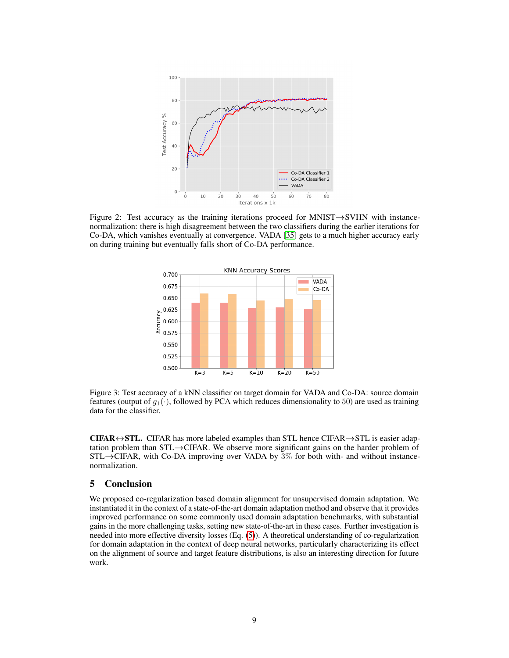<span id="page-8-0"></span>

<span id="page-8-1"></span>Figure 2: Test accuracy as the training iterations proceed for MNIST→SVHN with instancenormalization: there is high disagreement between the two classifiers during the earlier iterations for Co-DA, which vanishes eventually at convergence. VADA [\[35\]](#page-10-5) gets to a much higher accuracy early on during training but eventually falls short of Co-DA performance.



Figure 3: Test accuracy of a kNN classifier on target domain for VADA and Co-DA: source domain features (output of  $g_1(\cdot)$ , followed by PCA which reduces dimensionality to 50) are used as training data for the classifier.

**CIFAR** $\leftrightarrow$ STL. CIFAR has more labeled examples than STL hence CIFAR $\rightarrow$ STL is easier adaptation problem than STL→CIFAR. We observe more significant gains on the harder problem of  $STL \rightarrow CHAR$ , with Co-DA improving over VADA by  $3\%$  for both with- and without instancenormalization.

# 5 Conclusion

We proposed co-regularization based domain alignment for unsupervised domain adaptation. We instantiated it in the context of a state-of-the-art domain adaptation method and observe that it provides improved performance on some commonly used domain adaptation benchmarks, with substantial gains in the more challenging tasks, setting new state-of-the-art in these cases. Further investigation is needed into more effective diversity losses (Eq. [\(5\)](#page-4-1)). A theoretical understanding of co-regularization for domain adaptation in the context of deep neural networks, particularly characterizing its effect on the alignment of source and target feature distributions, is also an interesting direction for future work.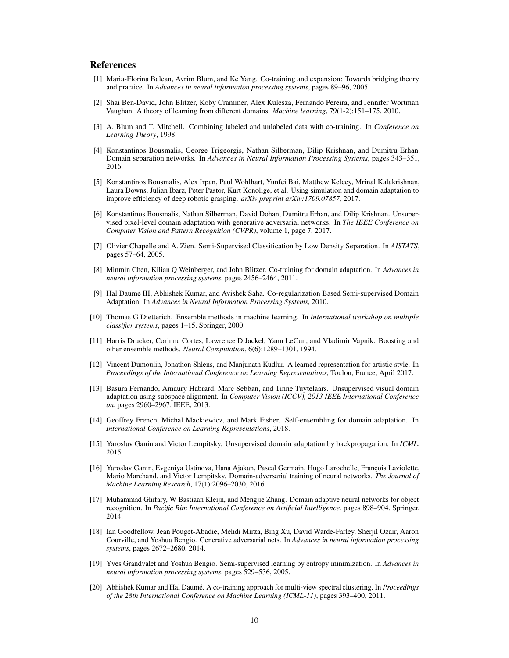## References

- <span id="page-9-15"></span>[1] Maria-Florina Balcan, Avrim Blum, and Ke Yang. Co-training and expansion: Towards bridging theory and practice. In *Advances in neural information processing systems*, pages 89–96, 2005.
- <span id="page-9-6"></span>[2] Shai Ben-David, John Blitzer, Koby Crammer, Alex Kulesza, Fernando Pereira, and Jennifer Wortman Vaughan. A theory of learning from different domains. *Machine learning*, 79(1-2):151–175, 2010.
- <span id="page-9-12"></span>[3] A. Blum and T. Mitchell. Combining labeled and unlabeled data with co-training. In *Conference on Learning Theory*, 1998.
- <span id="page-9-4"></span>[4] Konstantinos Bousmalis, George Trigeorgis, Nathan Silberman, Dilip Krishnan, and Dumitru Erhan. Domain separation networks. In *Advances in Neural Information Processing Systems*, pages 343–351, 2016.
- <span id="page-9-0"></span>[5] Konstantinos Bousmalis, Alex Irpan, Paul Wohlhart, Yunfei Bai, Matthew Kelcey, Mrinal Kalakrishnan, Laura Downs, Julian Ibarz, Peter Pastor, Kurt Konolige, et al. Using simulation and domain adaptation to improve efficiency of deep robotic grasping. *arXiv preprint arXiv:1709.07857*, 2017.
- <span id="page-9-11"></span>[6] Konstantinos Bousmalis, Nathan Silberman, David Dohan, Dumitru Erhan, and Dilip Krishnan. Unsupervised pixel-level domain adaptation with generative adversarial networks. In *The IEEE Conference on Computer Vision and Pattern Recognition (CVPR)*, volume 1, page 7, 2017.
- <span id="page-9-9"></span>[7] Olivier Chapelle and A. Zien. Semi-Supervised Classification by Low Density Separation. In *AISTATS*, pages 57–64, 2005.
- <span id="page-9-14"></span>[8] Minmin Chen, Kilian Q Weinberger, and John Blitzer. Co-training for domain adaptation. In *Advances in neural information processing systems*, pages 2456–2464, 2011.
- <span id="page-9-16"></span>[9] Hal Daume III, Abhishek Kumar, and Avishek Saha. Co-regularization Based Semi-supervised Domain Adaptation. In *Advances in Neural Information Processing Systems*, 2010.
- <span id="page-9-18"></span>[10] Thomas G Dietterich. Ensemble methods in machine learning. In *International workshop on multiple classifier systems*, pages 1–15. Springer, 2000.
- <span id="page-9-17"></span>[11] Harris Drucker, Corinna Cortes, Lawrence D Jackel, Yann LeCun, and Vladimir Vapnik. Boosting and other ensemble methods. *Neural Computation*, 6(6):1289–1301, 1994.
- <span id="page-9-19"></span>[12] Vincent Dumoulin, Jonathon Shlens, and Manjunath Kudlur. A learned representation for artistic style. In *Proceedings of the International Conference on Learning Representations*, Toulon, France, April 2017.
- <span id="page-9-1"></span>[13] Basura Fernando, Amaury Habrard, Marc Sebban, and Tinne Tuytelaars. Unsupervised visual domain adaptation using subspace alignment. In *Computer Vision (ICCV), 2013 IEEE International Conference on*, pages 2960–2967. IEEE, 2013.
- <span id="page-9-7"></span>[14] Geoffrey French, Michal Mackiewicz, and Mark Fisher. Self-ensembling for domain adaptation. In *International Conference on Learning Representations*, 2018.
- <span id="page-9-2"></span>[15] Yaroslav Ganin and Victor Lempitsky. Unsupervised domain adaptation by backpropagation. In *ICML*, 2015.
- <span id="page-9-5"></span>[16] Yaroslav Ganin, Evgeniya Ustinova, Hana Ajakan, Pascal Germain, Hugo Larochelle, François Laviolette, Mario Marchand, and Victor Lempitsky. Domain-adversarial training of neural networks. *The Journal of Machine Learning Research*, 17(1):2096–2030, 2016.
- <span id="page-9-3"></span>[17] Muhammad Ghifary, W Bastiaan Kleijn, and Mengjie Zhang. Domain adaptive neural networks for object recognition. In *Pacific Rim International Conference on Artificial Intelligence*, pages 898–904. Springer, 2014.
- <span id="page-9-8"></span>[18] Ian Goodfellow, Jean Pouget-Abadie, Mehdi Mirza, Bing Xu, David Warde-Farley, Sherjil Ozair, Aaron Courville, and Yoshua Bengio. Generative adversarial nets. In *Advances in neural information processing systems*, pages 2672–2680, 2014.
- <span id="page-9-10"></span>[19] Yves Grandvalet and Yoshua Bengio. Semi-supervised learning by entropy minimization. In *Advances in neural information processing systems*, pages 529–536, 2005.
- <span id="page-9-13"></span>[20] Abhishek Kumar and Hal Daumé. A co-training approach for multi-view spectral clustering. In *Proceedings of the 28th International Conference on Machine Learning (ICML-11)*, pages 393–400, 2011.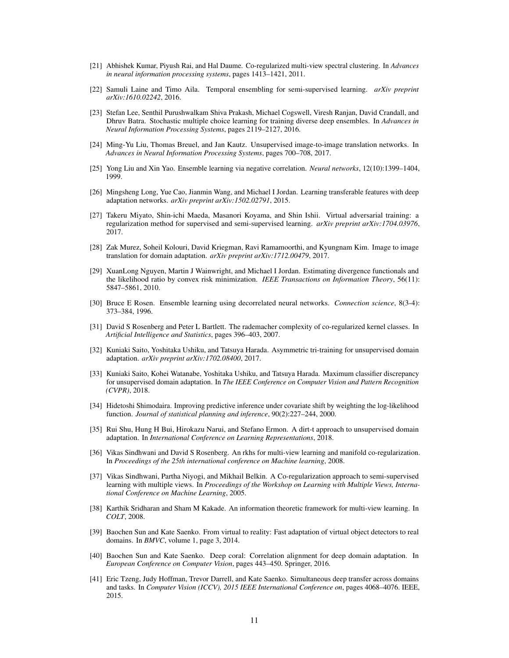- <span id="page-10-15"></span>[21] Abhishek Kumar, Piyush Rai, and Hal Daume. Co-regularized multi-view spectral clustering. In *Advances in neural information processing systems*, pages 1413–1421, 2011.
- <span id="page-10-20"></span>[22] Samuli Laine and Timo Aila. Temporal ensembling for semi-supervised learning. *arXiv preprint arXiv:1610.02242*, 2016.
- <span id="page-10-19"></span>[23] Stefan Lee, Senthil Purushwalkam Shiva Prakash, Michael Cogswell, Viresh Ranjan, David Crandall, and Dhruv Batra. Stochastic multiple choice learning for training diverse deep ensembles. In *Advances in Neural Information Processing Systems*, pages 2119–2127, 2016.
- <span id="page-10-13"></span>[24] Ming-Yu Liu, Thomas Breuel, and Jan Kautz. Unsupervised image-to-image translation networks. In *Advances in Neural Information Processing Systems*, pages 700–708, 2017.
- <span id="page-10-18"></span>[25] Yong Liu and Xin Yao. Ensemble learning via negative correlation. *Neural networks*, 12(10):1399–1404, 1999.
- <span id="page-10-2"></span>[26] Mingsheng Long, Yue Cao, Jianmin Wang, and Michael I Jordan. Learning transferable features with deep adaptation networks. *arXiv preprint arXiv:1502.02791*, 2015.
- <span id="page-10-11"></span>[27] Takeru Miyato, Shin-ichi Maeda, Masanori Koyama, and Shin Ishii. Virtual adversarial training: a regularization method for supervised and semi-supervised learning. *arXiv preprint arXiv:1704.03976*, 2017.
- <span id="page-10-14"></span>[28] Zak Murez, Soheil Kolouri, David Kriegman, Ravi Ramamoorthi, and Kyungnam Kim. Image to image translation for domain adaptation. *arXiv preprint arXiv:1712.00479*, 2017.
- <span id="page-10-10"></span>[29] XuanLong Nguyen, Martin J Wainwright, and Michael I Jordan. Estimating divergence functionals and the likelihood ratio by convex risk minimization. *IEEE Transactions on Information Theory*, 56(11): 5847–5861, 2010.
- <span id="page-10-17"></span>[30] Bruce E Rosen. Ensemble learning using decorrelated neural networks. *Connection science*, 8(3-4): 373–384, 1996.
- <span id="page-10-8"></span>[31] David S Rosenberg and Peter L Bartlett. The rademacher complexity of co-regularized kernel classes. In *Artificial Intelligence and Statistics*, pages 396–403, 2007.
- <span id="page-10-16"></span>[32] Kuniaki Saito, Yoshitaka Ushiku, and Tatsuya Harada. Asymmetric tri-training for unsupervised domain adaptation. *arXiv preprint arXiv:1702.08400*, 2017.
- <span id="page-10-12"></span>[33] Kuniaki Saito, Kohei Watanabe, Yoshitaka Ushiku, and Tatsuya Harada. Maximum classifier discrepancy for unsupervised domain adaptation. In *The IEEE Conference on Computer Vision and Pattern Recognition (CVPR)*, 2018.
- <span id="page-10-0"></span>[34] Hidetoshi Shimodaira. Improving predictive inference under covariate shift by weighting the log-likelihood function. *Journal of statistical planning and inference*, 90(2):227–244, 2000.
- <span id="page-10-5"></span>[35] Rui Shu, Hung H Bui, Hirokazu Narui, and Stefano Ermon. A dirt-t approach to unsupervised domain adaptation. In *International Conference on Learning Representations*, 2018.
- <span id="page-10-9"></span>[36] Vikas Sindhwani and David S Rosenberg. An rkhs for multi-view learning and manifold co-regularization. In *Proceedings of the 25th international conference on Machine learning*, 2008.
- <span id="page-10-6"></span>[37] Vikas Sindhwani, Partha Niyogi, and Mikhail Belkin. A Co-regularization approach to semi-supervised learning with multiple views. In *Proceedings of the Workshop on Learning with Multiple Views, International Conference on Machine Learning*, 2005.
- <span id="page-10-7"></span>[38] Karthik Sridharan and Sham M Kakade. An information theoretic framework for multi-view learning. In *COLT*, 2008.
- <span id="page-10-1"></span>[39] Baochen Sun and Kate Saenko. From virtual to reality: Fast adaptation of virtual object detectors to real domains. In *BMVC*, volume 1, page 3, 2014.
- <span id="page-10-4"></span>[40] Baochen Sun and Kate Saenko. Deep coral: Correlation alignment for deep domain adaptation. In *European Conference on Computer Vision*, pages 443–450. Springer, 2016.
- <span id="page-10-3"></span>[41] Eric Tzeng, Judy Hoffman, Trevor Darrell, and Kate Saenko. Simultaneous deep transfer across domains and tasks. In *Computer Vision (ICCV), 2015 IEEE International Conference on*, pages 4068–4076. IEEE, 2015.